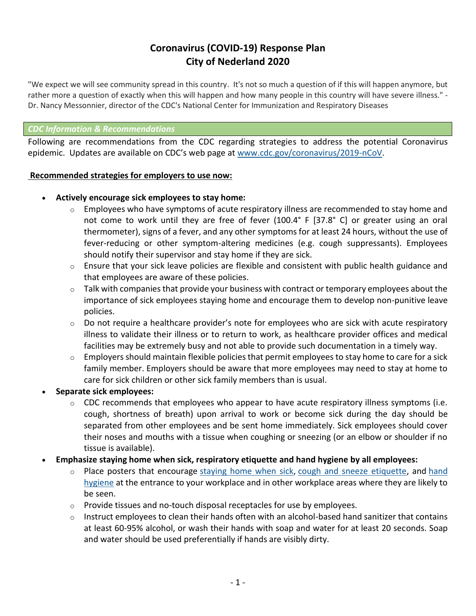# **Coronavirus (COVID-19) Response Plan City of Nederland 2020**

"We expect we will see community spread in this country. It's not so much a question of if this will happen anymore, but rather more a question of exactly when this will happen and how many people in this country will have severe illness." - Dr. Nancy Messonnier, director of the CDC's National Center for Immunization and Respiratory Diseases

#### *CDC Information & Recommendations*

Following are recommendations from the CDC regarding strategies to address the potential Coronavirus epidemic. Updates are available on CDC's web page at [www.cdc.gov/coronavirus/2019-nCoV.](http://www.cdc.gov/coronavirus/2019-nCoV)

#### **Recommended strategies for employers to use now:**

### • **Actively encourage sick employees to stay home:**

- $\circ$  Employees who have symptoms of acute respiratory illness are recommended to stay home and not come to work until they are free of fever (100.4° F [37.8° C] or greater using an oral thermometer), signs of a fever, and any other symptoms for at least 24 hours, without the use of fever-reducing or other symptom-altering medicines (e.g. cough suppressants). Employees should notify their supervisor and stay home if they are sick.
- $\circ$  Ensure that your sick leave policies are flexible and consistent with public health guidance and that employees are aware of these policies.
- $\circ$  Talk with companies that provide your business with contract or temporary employees about the importance of sick employees staying home and encourage them to develop non-punitive leave policies.
- $\circ$  Do not require a healthcare provider's note for employees who are sick with acute respiratory illness to validate their illness or to return to work, as healthcare provider offices and medical facilities may be extremely busy and not able to provide such documentation in a timely way.
- $\circ$  Employers should maintain flexible policies that permit employees to stay home to care for a sick family member. Employers should be aware that more employees may need to stay at home to care for sick children or other sick family members than is usual.
- **Separate sick employees:**
	- $\circ$  CDC recommends that employees who appear to have acute respiratory illness symptoms (i.e. cough, shortness of breath) upon arrival to work or become sick during the day should be separated from other employees and be sent home immediately. Sick employees should cover their noses and mouths with a tissue when coughing or sneezing (or an elbow or shoulder if no tissue is available).
- **Emphasize staying home when sick, respiratory etiquette and hand hygiene by all employees:**
	- $\circ$  Place posters that encourage [staying home when sick,](https://www.cdc.gov/nonpharmaceutical-interventions/tools-resources/educational-materials.html) [cough and sneeze etiquette,](https://www.cdc.gov/healthywater/hygiene/etiquette/coughing_sneezing.html) and hand [hygiene](https://www.cdc.gov/handwashing/materials.html) at the entrance to your workplace and in other workplace areas where they are likely to be seen.
	- o Provide tissues and no-touch disposal receptacles for use by employees.
	- $\circ$  Instruct employees to clean their hands often with an alcohol-based hand sanitizer that contains at least 60-95% alcohol, or wash their hands with soap and water for at least 20 seconds. Soap and water should be used preferentially if hands are visibly dirty.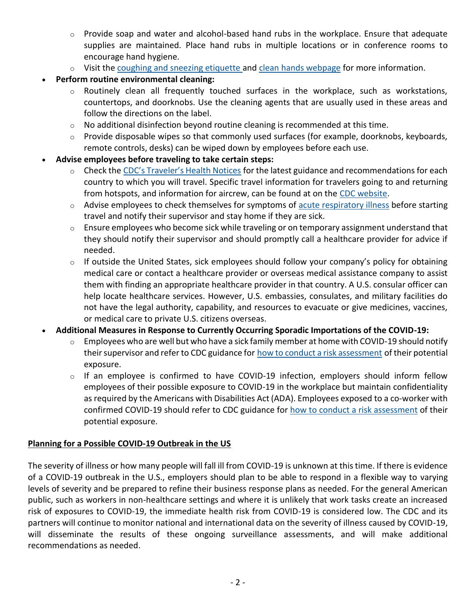- $\circ$  Provide soap and water and alcohol-based hand rubs in the workplace. Ensure that adequate supplies are maintained. Place hand rubs in multiple locations or in conference rooms to encourage hand hygiene.
- o Visit the [coughing and sneezing etiquette](http://www.cdc.gov/healthywater/hygiene/etiquette/coughing_sneezing.html) and [clean hands webpage](https://www.cdc.gov/handwashing/index.html) for more information.

# • **Perform routine environmental cleaning:**

- o Routinely clean all frequently touched surfaces in the workplace, such as workstations, countertops, and doorknobs. Use the cleaning agents that are usually used in these areas and follow the directions on the label.
- o No additional disinfection beyond routine cleaning is recommended at this time.
- $\circ$  Provide disposable wipes so that commonly used surfaces (for example, doorknobs, keyboards, remote controls, desks) can be wiped down by employees before each use.
- **Advise employees before traveling to take certain steps:**
	- o Check the [CDC's Traveler's Health Notices](http://www.cdc.gov/travel) for the latest guidance and recommendations for each country to which you will travel. Specific travel information for travelers going to and returning from hotspots, and information for aircrew, can be found at on the [CDC website.](https://www.cdc.gov/coronavirus/2019-ncov/travelers/index.html)
	- o Advise employees to check themselves for symptoms of [acute respiratory illness](https://www.cdc.gov/coronavirus/2019-ncov/about/symptoms.html) before starting travel and notify their supervisor and stay home if they are sick.
	- o Ensure employees who become sick while traveling or on temporary assignment understand that they should notify their supervisor and should promptly call a healthcare provider for advice if needed.
	- o If outside the United States, sick employees should follow your company's policy for obtaining medical care or contact a healthcare provider or overseas medical assistance company to assist them with finding an appropriate healthcare provider in that country. A U.S. consular officer can help locate healthcare services. However, U.S. embassies, consulates, and military facilities do not have the legal authority, capability, and resources to evacuate or give medicines, vaccines, or medical care to private U.S. citizens overseas.
- **Additional Measures in Response to Currently Occurring Sporadic Importations of the COVID-19:**
	- $\circ$  Employees who are well but who have a sick family member at home with COVID-19 should notify their supervisor and refer to CDC guidance for [how to conduct a risk assessment](https://www.cdc.gov/coronavirus/2019-ncov/php/risk-assessment.html) of their potential exposure.
	- $\circ$  If an employee is confirmed to have COVID-19 infection, employers should inform fellow employees of their possible exposure to COVID-19 in the workplace but maintain confidentiality as required by the Americans with Disabilities Act (ADA). Employees exposed to a co-worker with confirmed COVID-19 should refer to CDC guidance for [how to conduct a risk assessment](https://www.cdc.gov/coronavirus/2019-ncov/php/risk-assessment.html) of their potential exposure.

### **Planning for a Possible COVID-19 Outbreak in the US**

The severity of illness or how many people will fall ill from COVID-19 is unknown at this time. If there is evidence of a COVID-19 outbreak in the U.S., employers should plan to be able to respond in a flexible way to varying levels of severity and be prepared to refine their business response plans as needed. For the general American public, such as workers in non-healthcare settings and where it is unlikely that work tasks create an increased risk of exposures to COVID-19, the immediate health risk from COVID-19 is considered low. The CDC and its partners will continue to monitor national and international data on the severity of illness caused by COVID-19, will disseminate the results of these ongoing surveillance assessments, and will make additional recommendations as needed.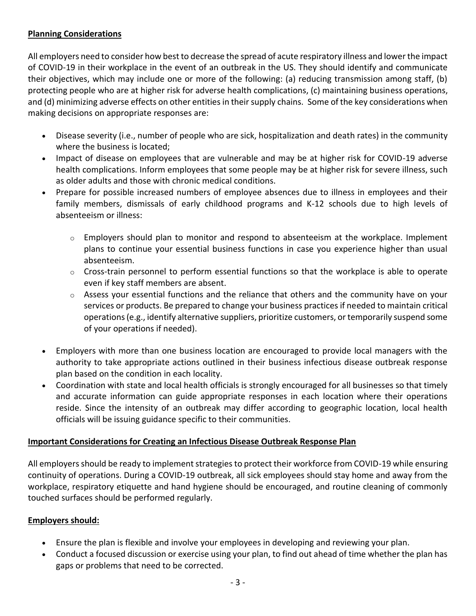# **Planning Considerations**

All employers need to consider how best to decrease the spread of acute respiratory illness and lower the impact of COVID-19 in their workplace in the event of an outbreak in the US. They should identify and communicate their objectives, which may include one or more of the following: (a) reducing transmission among staff, (b) protecting people who are at higher risk for adverse health complications, (c) maintaining business operations, and (d) minimizing adverse effects on other entities in their supply chains. Some of the key considerations when making decisions on appropriate responses are:

- Disease severity (i.e., number of people who are sick, hospitalization and death rates) in the community where the business is located;
- Impact of disease on employees that are vulnerable and may be at higher risk for COVID-19 adverse health complications. Inform employees that some people may be at higher risk for severe illness, such as older adults and those with chronic medical conditions.
- Prepare for possible increased numbers of employee absences due to illness in employees and their family members, dismissals of early childhood programs and K-12 schools due to high levels of absenteeism or illness:
	- $\circ$  Employers should plan to monitor and respond to absenteeism at the workplace. Implement plans to continue your essential business functions in case you experience higher than usual absenteeism.
	- $\circ$  Cross-train personnel to perform essential functions so that the workplace is able to operate even if key staff members are absent.
	- o Assess your essential functions and the reliance that others and the community have on your services or products. Be prepared to change your business practices if needed to maintain critical operations (e.g., identify alternative suppliers, prioritize customers, or temporarily suspend some of your operations if needed).
- Employers with more than one business location are encouraged to provide local managers with the authority to take appropriate actions outlined in their business infectious disease outbreak response plan based on the condition in each locality.
- Coordination with state and local health officials is strongly encouraged for all businesses so that timely and accurate information can guide appropriate responses in each location where their operations reside. Since the intensity of an outbreak may differ according to geographic location, local health officials will be issuing guidance specific to their communities.

# **Important Considerations for Creating an Infectious Disease Outbreak Response Plan**

All employers should be ready to implement strategies to protect their workforce from COVID-19 while ensuring continuity of operations. During a COVID-19 outbreak, all sick employees should stay home and away from the workplace, respiratory etiquette and hand hygiene should be encouraged, and routine cleaning of commonly touched surfaces should be performed regularly.

### **Employers should:**

- Ensure the plan is flexible and involve your employees in developing and reviewing your plan.
- Conduct a focused discussion or exercise using your plan, to find out ahead of time whether the plan has gaps or problems that need to be corrected.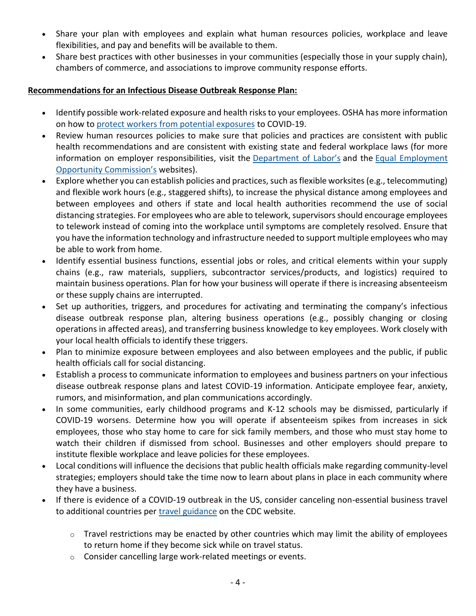- Share your plan with employees and explain what human resources policies, workplace and leave flexibilities, and pay and benefits will be available to them.
- Share best practices with other businesses in your communities (especially those in your supply chain), chambers of commerce, and associations to improve community response efforts.

### **Recommendations for an Infectious Disease Outbreak Response Plan:**

- Identify possible work-related exposure and health risks to your employees. OSHA has more information on how to [protect workers from potential exposures](https://www.osha.gov/SLTC/novel_coronavirus/index.html) to COVID-19.
- Review human resources policies to make sure that policies and practices are consistent with public health recommendations and are consistent with existing state and federal workplace laws (for more information on employer responsibilities, visit the [Department of Labor's](http://www.dol.gov/) and the [Equal Employment](http://www.eeoc.gov/)  [Opportunity Commission's](http://www.eeoc.gov/) websites).
- Explore whether you can establish policies and practices, such as flexible worksites (e.g., telecommuting) and flexible work hours (e.g., staggered shifts), to increase the physical distance among employees and between employees and others if state and local health authorities recommend the use of social distancing strategies. For employees who are able to telework, supervisors should encourage employees to telework instead of coming into the workplace until symptoms are completely resolved. Ensure that you have the information technology and infrastructure needed to support multiple employees who may be able to work from home.
- Identify essential business functions, essential jobs or roles, and critical elements within your supply chains (e.g., raw materials, suppliers, subcontractor services/products, and logistics) required to maintain business operations. Plan for how your business will operate if there is increasing absenteeism or these supply chains are interrupted.
- Set up authorities, triggers, and procedures for activating and terminating the company's infectious disease outbreak response plan, altering business operations (e.g., possibly changing or closing operations in affected areas), and transferring business knowledge to key employees. Work closely with your local health officials to identify these triggers.
- Plan to minimize exposure between employees and also between employees and the public, if public health officials call for social distancing.
- Establish a process to communicate information to employees and business partners on your infectious disease outbreak response plans and latest COVID-19 information. Anticipate employee fear, anxiety, rumors, and misinformation, and plan communications accordingly.
- In some communities, early childhood programs and K-12 schools may be dismissed, particularly if COVID-19 worsens. Determine how you will operate if absenteeism spikes from increases in sick employees, those who stay home to care for sick family members, and those who must stay home to watch their children if dismissed from school. Businesses and other employers should prepare to institute flexible workplace and leave policies for these employees.
- Local conditions will influence the decisions that public health officials make regarding community-level strategies; employers should take the time now to learn about plans in place in each community where they have a business.
- If there is evidence of a COVID-19 outbreak in the US, consider canceling non-essential business travel to additional countries per [travel guidance](https://www.cdc.gov/coronavirus/2019-ncov/travelers/index.html) on the CDC website.
	- $\circ$  Travel restrictions may be enacted by other countries which may limit the ability of employees to return home if they become sick while on travel status.
	- o Consider cancelling large work-related meetings or events.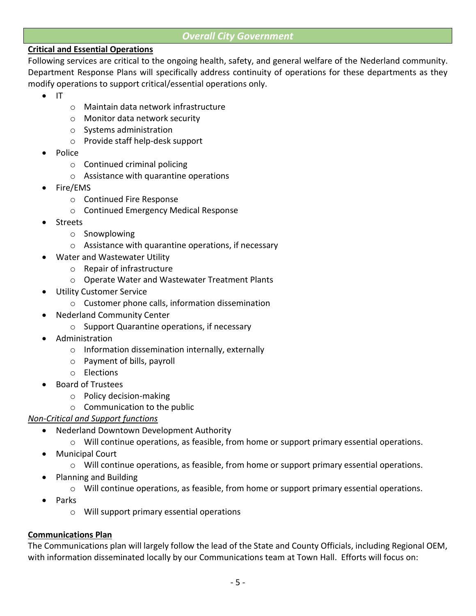## *Overall City Government*

#### **Critical and Essential Operations**

Following services are critical to the ongoing health, safety, and general welfare of the Nederland community. Department Response Plans will specifically address continuity of operations for these departments as they modify operations to support critical/essential operations only.

- IT
- o Maintain data network infrastructure
- o Monitor data network security
- o Systems administration
- o Provide staff help-desk support
- Police
	- o Continued criminal policing
	- o Assistance with quarantine operations
- Fire/EMS
	- o Continued Fire Response
	- o Continued Emergency Medical Response
- **Streets** 
	- o Snowplowing
	- o Assistance with quarantine operations, if necessary
- Water and Wastewater Utility
	- o Repair of infrastructure
	- o Operate Water and Wastewater Treatment Plants
- Utility Customer Service
	- o Customer phone calls, information dissemination
- Nederland Community Center
	- o Support Quarantine operations, if necessary
- Administration
	- o Information dissemination internally, externally
	- o Payment of bills, payroll
	- o Elections
- Board of Trustees
	- o Policy decision-making
	- o Communication to the public

### *Non-Critical and Support functions*

- Nederland Downtown Development Authority
	- $\circ$  Will continue operations, as feasible, from home or support primary essential operations.
- Municipal Court
	- $\circ$  Will continue operations, as feasible, from home or support primary essential operations.
- Planning and Building
	- $\circ$  Will continue operations, as feasible, from home or support primary essential operations.
- Parks
	- o Will support primary essential operations

### **Communications Plan**

The Communications plan will largely follow the lead of the State and County Officials, including Regional OEM, with information disseminated locally by our Communications team at Town Hall. Efforts will focus on: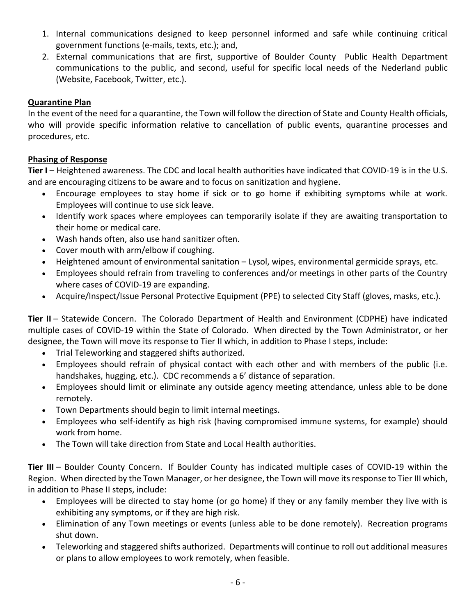- 1. Internal communications designed to keep personnel informed and safe while continuing critical government functions (e-mails, texts, etc.); and,
- 2. External communications that are first, supportive of Boulder County Public Health Department communications to the public, and second, useful for specific local needs of the Nederland public (Website, Facebook, Twitter, etc.).

## **Quarantine Plan**

In the event of the need for a quarantine, the Town will follow the direction of State and County Health officials, who will provide specific information relative to cancellation of public events, quarantine processes and procedures, etc.

# **Phasing of Response**

**Tier I** – Heightened awareness. The CDC and local health authorities have indicated that COVID-19 is in the U.S. and are encouraging citizens to be aware and to focus on sanitization and hygiene.

- Encourage employees to stay home if sick or to go home if exhibiting symptoms while at work. Employees will continue to use sick leave.
- Identify work spaces where employees can temporarily isolate if they are awaiting transportation to their home or medical care.
- Wash hands often, also use hand sanitizer often.
- Cover mouth with arm/elbow if coughing.
- Heightened amount of environmental sanitation Lysol, wipes, environmental germicide sprays, etc.
- Employees should refrain from traveling to conferences and/or meetings in other parts of the Country where cases of COVID-19 are expanding.
- Acquire/Inspect/Issue Personal Protective Equipment (PPE) to selected City Staff (gloves, masks, etc.).

**Tier II** – Statewide Concern. The Colorado Department of Health and Environment (CDPHE) have indicated multiple cases of COVID-19 within the State of Colorado. When directed by the Town Administrator, or her designee, the Town will move its response to Tier II which, in addition to Phase I steps, include:

- Trial Teleworking and staggered shifts authorized.
- Employees should refrain of physical contact with each other and with members of the public (i.e. handshakes, hugging, etc.). CDC recommends a 6' distance of separation.
- Employees should limit or eliminate any outside agency meeting attendance, unless able to be done remotely.
- Town Departments should begin to limit internal meetings.
- Employees who self-identify as high risk (having compromised immune systems, for example) should work from home.
- The Town will take direction from State and Local Health authorities.

**Tier III** – Boulder County Concern. If Boulder County has indicated multiple cases of COVID-19 within the Region. When directed by the Town Manager, or her designee, the Town will move its response to Tier III which, in addition to Phase II steps, include:

- Employees will be directed to stay home (or go home) if they or any family member they live with is exhibiting any symptoms, or if they are high risk.
- Elimination of any Town meetings or events (unless able to be done remotely). Recreation programs shut down.
- Teleworking and staggered shifts authorized. Departments will continue to roll out additional measures or plans to allow employees to work remotely, when feasible.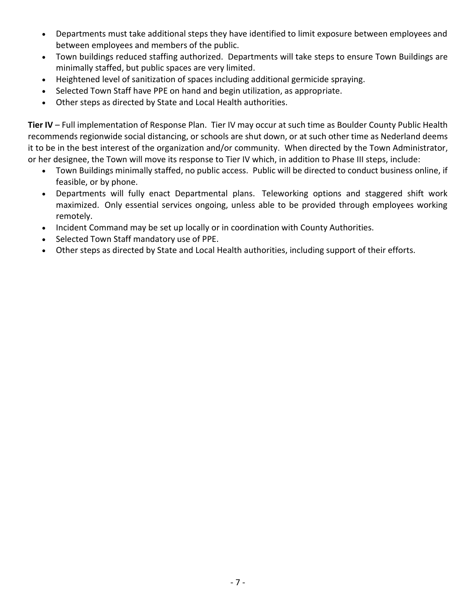- Departments must take additional steps they have identified to limit exposure between employees and between employees and members of the public.
- Town buildings reduced staffing authorized. Departments will take steps to ensure Town Buildings are minimally staffed, but public spaces are very limited.
- Heightened level of sanitization of spaces including additional germicide spraying.
- Selected Town Staff have PPE on hand and begin utilization, as appropriate.
- Other steps as directed by State and Local Health authorities.

**Tier IV** – Full implementation of Response Plan. Tier IV may occur at such time as Boulder County Public Health recommends regionwide social distancing, or schools are shut down, or at such other time as Nederland deems it to be in the best interest of the organization and/or community. When directed by the Town Administrator, or her designee, the Town will move its response to Tier IV which, in addition to Phase III steps, include:

- Town Buildings minimally staffed, no public access. Public will be directed to conduct business online, if feasible, or by phone.
- Departments will fully enact Departmental plans. Teleworking options and staggered shift work maximized. Only essential services ongoing, unless able to be provided through employees working remotely.
- Incident Command may be set up locally or in coordination with County Authorities.
- Selected Town Staff mandatory use of PPE.
- Other steps as directed by State and Local Health authorities, including support of their efforts.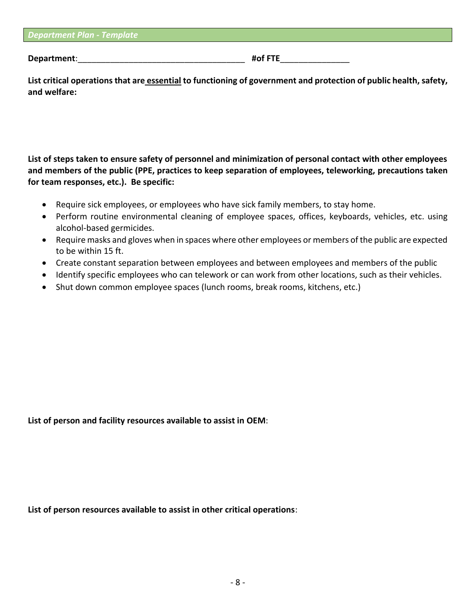| <b>Department Plan - Template</b> |  |  |
|-----------------------------------|--|--|
|                                   |  |  |

**Department:** The set of  $\blacksquare$ 

**List critical operations that are essential to functioning of government and protection of public health, safety, and welfare:**

**List of steps taken to ensure safety of personnel and minimization of personal contact with other employees and members of the public (PPE, practices to keep separation of employees, teleworking, precautions taken for team responses, etc.). Be specific:**

- Require sick employees, or employees who have sick family members, to stay home.
- Perform routine environmental cleaning of employee spaces, offices, keyboards, vehicles, etc. using alcohol-based germicides.
- Require masks and gloves when in spaces where other employees or members of the public are expected to be within 15 ft.
- Create constant separation between employees and between employees and members of the public
- Identify specific employees who can telework or can work from other locations, such as their vehicles.
- Shut down common employee spaces (lunch rooms, break rooms, kitchens, etc.)

**List of person and facility resources available to assist in OEM**:

**List of person resources available to assist in other critical operations**: